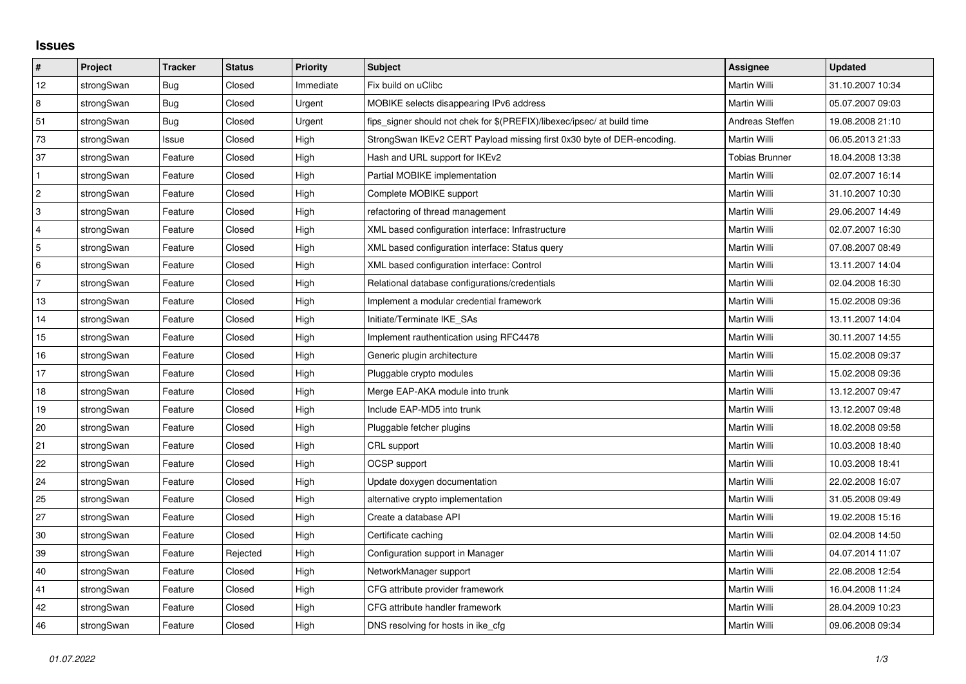## **Issues**

| $\vert$ #      | Project    | <b>Tracker</b> | <b>Status</b> | <b>Priority</b> | <b>Subject</b>                                                          | Assignee              | <b>Updated</b>   |
|----------------|------------|----------------|---------------|-----------------|-------------------------------------------------------------------------|-----------------------|------------------|
| 12             | strongSwan | Bug            | Closed        | Immediate       | Fix build on uClibc                                                     | Martin Willi          | 31.10.2007 10:34 |
| 8              | strongSwan | Bug            | Closed        | Urgent          | MOBIKE selects disappearing IPv6 address                                | Martin Willi          | 05.07.2007 09:03 |
| 51             | strongSwan | Bug            | Closed        | Urgent          | fips_signer should not chek for \$(PREFIX)/libexec/ipsec/ at build time | Andreas Steffen       | 19.08.2008 21:10 |
| 73             | strongSwan | Issue          | Closed        | High            | StrongSwan IKEv2 CERT Payload missing first 0x30 byte of DER-encoding.  | Martin Willi          | 06.05.2013 21:33 |
| 37             | strongSwan | Feature        | Closed        | High            | Hash and URL support for IKEv2                                          | <b>Tobias Brunner</b> | 18.04.2008 13:38 |
| $\mathbf{1}$   | strongSwan | Feature        | Closed        | High            | Partial MOBIKE implementation                                           | Martin Willi          | 02.07.2007 16:14 |
| $\overline{2}$ | strongSwan | Feature        | Closed        | High            | Complete MOBIKE support                                                 | Martin Willi          | 31.10.2007 10:30 |
| 3              | strongSwan | Feature        | Closed        | High            | refactoring of thread management                                        | Martin Willi          | 29.06.2007 14:49 |
| 4              | strongSwan | Feature        | Closed        | High            | XML based configuration interface: Infrastructure                       | Martin Willi          | 02.07.2007 16:30 |
| 5              | strongSwan | Feature        | Closed        | High            | XML based configuration interface: Status query                         | Martin Willi          | 07.08.2007 08:49 |
| 6              | strongSwan | Feature        | Closed        | High            | XML based configuration interface: Control                              | Martin Willi          | 13.11.2007 14:04 |
| $\overline{7}$ | strongSwan | Feature        | Closed        | High            | Relational database configurations/credentials                          | Martin Willi          | 02.04.2008 16:30 |
| 13             | strongSwan | Feature        | Closed        | High            | Implement a modular credential framework                                | Martin Willi          | 15.02.2008 09:36 |
| 14             | strongSwan | Feature        | Closed        | High            | Initiate/Terminate IKE_SAs                                              | Martin Willi          | 13.11.2007 14:04 |
| 15             | strongSwan | Feature        | Closed        | High            | Implement rauthentication using RFC4478                                 | Martin Willi          | 30.11.2007 14:55 |
| 16             | strongSwan | Feature        | Closed        | High            | Generic plugin architecture                                             | Martin Willi          | 15.02.2008 09:37 |
| 17             | strongSwan | Feature        | Closed        | High            | Pluggable crypto modules                                                | Martin Willi          | 15.02.2008 09:36 |
| 18             | strongSwan | Feature        | Closed        | High            | Merge EAP-AKA module into trunk                                         | Martin Willi          | 13.12.2007 09:47 |
| 19             | strongSwan | Feature        | Closed        | High            | Include EAP-MD5 into trunk                                              | Martin Willi          | 13.12.2007 09:48 |
| 20             | strongSwan | Feature        | Closed        | High            | Pluggable fetcher plugins                                               | Martin Willi          | 18.02.2008 09:58 |
| 21             | strongSwan | Feature        | Closed        | High            | CRL support                                                             | Martin Willi          | 10.03.2008 18:40 |
| 22             | strongSwan | Feature        | Closed        | High            | OCSP support                                                            | Martin Willi          | 10.03.2008 18:41 |
| 24             | strongSwan | Feature        | Closed        | High            | Update doxygen documentation                                            | Martin Willi          | 22.02.2008 16:07 |
| 25             | strongSwan | Feature        | Closed        | High            | alternative crypto implementation                                       | Martin Willi          | 31.05.2008 09:49 |
| 27             | strongSwan | Feature        | Closed        | High            | Create a database API                                                   | Martin Willi          | 19.02.2008 15:16 |
| 30             | strongSwan | Feature        | Closed        | High            | Certificate caching                                                     | Martin Willi          | 02.04.2008 14:50 |
| 39             | strongSwan | Feature        | Rejected      | High            | Configuration support in Manager                                        | Martin Willi          | 04.07.2014 11:07 |
| 40             | strongSwan | Feature        | Closed        | High            | NetworkManager support                                                  | Martin Willi          | 22.08.2008 12:54 |
| 41             | strongSwan | Feature        | Closed        | High            | CFG attribute provider framework                                        | Martin Willi          | 16.04.2008 11:24 |
| 42             | strongSwan | Feature        | Closed        | High            | CFG attribute handler framework                                         | Martin Willi          | 28.04.2009 10:23 |
| 46             | strongSwan | Feature        | Closed        | High            | DNS resolving for hosts in ike_cfg                                      | Martin Willi          | 09.06.2008 09:34 |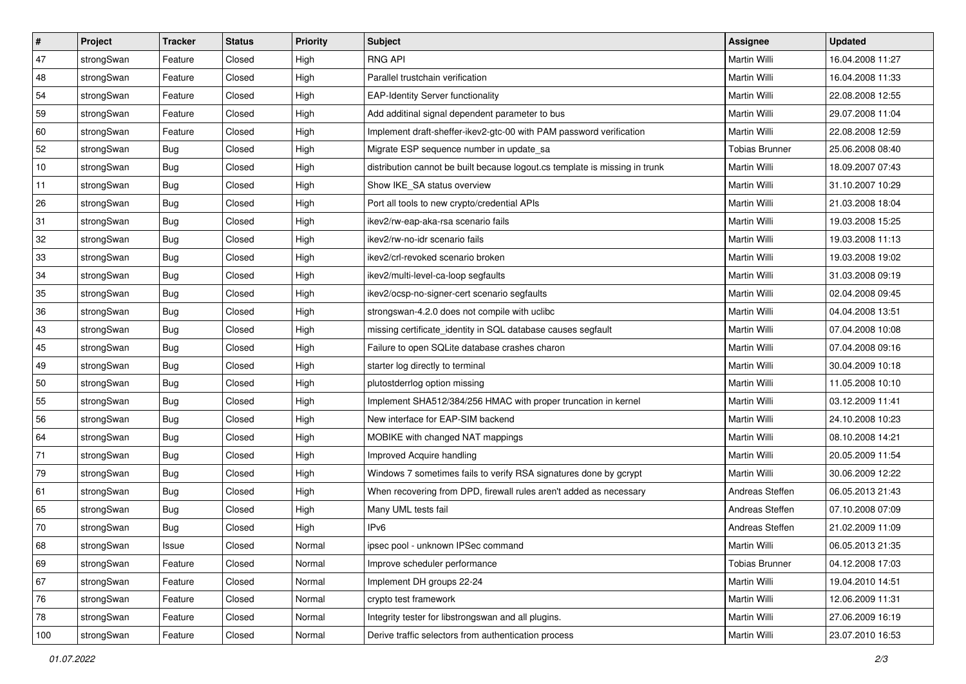| $\vert$ # | Project    | <b>Tracker</b> | <b>Status</b> | <b>Priority</b> | <b>Subject</b>                                                              | <b>Assignee</b>       | <b>Updated</b>   |
|-----------|------------|----------------|---------------|-----------------|-----------------------------------------------------------------------------|-----------------------|------------------|
| 47        | strongSwan | Feature        | Closed        | High            | <b>RNG API</b>                                                              | Martin Willi          | 16.04.2008 11:27 |
| 48        | strongSwan | Feature        | Closed        | High            | Parallel trustchain verification                                            | <b>Martin Willi</b>   | 16.04.2008 11:33 |
| 54        | strongSwan | Feature        | Closed        | High            | <b>EAP-Identity Server functionality</b>                                    | Martin Willi          | 22.08.2008 12:55 |
| 59        | strongSwan | Feature        | Closed        | High            | Add additinal signal dependent parameter to bus                             | Martin Willi          | 29.07.2008 11:04 |
| 60        | strongSwan | Feature        | Closed        | High            | Implement draft-sheffer-ikev2-gtc-00 with PAM password verification         | Martin Willi          | 22.08.2008 12:59 |
| 52        | strongSwan | <b>Bug</b>     | Closed        | High            | Migrate ESP sequence number in update_sa                                    | Tobias Brunner        | 25.06.2008 08:40 |
| $10$      | strongSwan | Bug            | Closed        | High            | distribution cannot be built because logout.cs template is missing in trunk | Martin Willi          | 18.09.2007 07:43 |
| 11        | strongSwan | Bug            | Closed        | High            | Show IKE_SA status overview                                                 | Martin Willi          | 31.10.2007 10:29 |
| 26        | strongSwan | <b>Bug</b>     | Closed        | High            | Port all tools to new crypto/credential APIs                                | Martin Willi          | 21.03.2008 18:04 |
| 31        | strongSwan | <b>Bug</b>     | Closed        | High            | ikev2/rw-eap-aka-rsa scenario fails                                         | Martin Willi          | 19.03.2008 15:25 |
| 32        | strongSwan | Bug            | Closed        | High            | ikev2/rw-no-idr scenario fails                                              | Martin Willi          | 19.03.2008 11:13 |
| 33        | strongSwan | <b>Bug</b>     | Closed        | High            | ikev2/crl-revoked scenario broken                                           | Martin Willi          | 19.03.2008 19:02 |
| 34        | strongSwan | Bug            | Closed        | High            | ikev2/multi-level-ca-loop segfaults                                         | <b>Martin Willi</b>   | 31.03.2008 09:19 |
| 35        | strongSwan | <b>Bug</b>     | Closed        | High            | ikev2/ocsp-no-signer-cert scenario segfaults                                | Martin Willi          | 02.04.2008 09:45 |
| 36        | strongSwan | Bug            | Closed        | High            | strongswan-4.2.0 does not compile with uclibc                               | <b>Martin Willi</b>   | 04.04.2008 13:51 |
| 43        | strongSwan | <b>Bug</b>     | Closed        | High            | missing certificate_identity in SQL database causes segfault                | Martin Willi          | 07.04.2008 10:08 |
| 45        | strongSwan | <b>Bug</b>     | Closed        | High            | Failure to open SQLite database crashes charon                              | <b>Martin Willi</b>   | 07.04.2008 09:16 |
| 49        | strongSwan | Bug            | Closed        | High            | starter log directly to terminal                                            | Martin Willi          | 30.04.2009 10:18 |
| 50        | strongSwan | <b>Bug</b>     | Closed        | High            | plutostderrlog option missing                                               | Martin Willi          | 11.05.2008 10:10 |
| 55        | strongSwan | Bug            | Closed        | High            | Implement SHA512/384/256 HMAC with proper truncation in kernel              | Martin Willi          | 03.12.2009 11:41 |
| 56        | strongSwan | <b>Bug</b>     | Closed        | High            | New interface for EAP-SIM backend                                           | Martin Willi          | 24.10.2008 10:23 |
| 64        | strongSwan | <b>Bug</b>     | Closed        | High            | MOBIKE with changed NAT mappings                                            | Martin Willi          | 08.10.2008 14:21 |
| 71        | strongSwan | Bug            | Closed        | High            | Improved Acquire handling                                                   | Martin Willi          | 20.05.2009 11:54 |
| 79        | strongSwan | <b>Bug</b>     | Closed        | High            | Windows 7 sometimes fails to verify RSA signatures done by gcrypt           | Martin Willi          | 30.06.2009 12:22 |
| 61        | strongSwan | <b>Bug</b>     | Closed        | High            | When recovering from DPD, firewall rules aren't added as necessary          | Andreas Steffen       | 06.05.2013 21:43 |
| 65        | strongSwan | <b>Bug</b>     | Closed        | High            | Many UML tests fail                                                         | Andreas Steffen       | 07.10.2008 07:09 |
| 70        | strongSwan | Bug            | Closed        | High            | IPv6                                                                        | Andreas Steffen       | 21.02.2009 11:09 |
| 68        | strongSwan | Issue          | Closed        | Normal          | ipsec pool - unknown IPSec command                                          | Martin Willi          | 06.05.2013 21:35 |
| 69        | strongSwan | Feature        | Closed        | Normal          | Improve scheduler performance                                               | <b>Tobias Brunner</b> | 04.12.2008 17:03 |
| 67        | strongSwan | Feature        | Closed        | Normal          | Implement DH groups 22-24                                                   | Martin Willi          | 19.04.2010 14:51 |
| 76        | strongSwan | Feature        | Closed        | Normal          | crypto test framework                                                       | Martin Willi          | 12.06.2009 11:31 |
| 78        | strongSwan | Feature        | Closed        | Normal          | Integrity tester for libstrongswan and all plugins.                         | Martin Willi          | 27.06.2009 16:19 |
| 100       | strongSwan | Feature        | Closed        | Normal          | Derive traffic selectors from authentication process                        | Martin Willi          | 23.07.2010 16:53 |